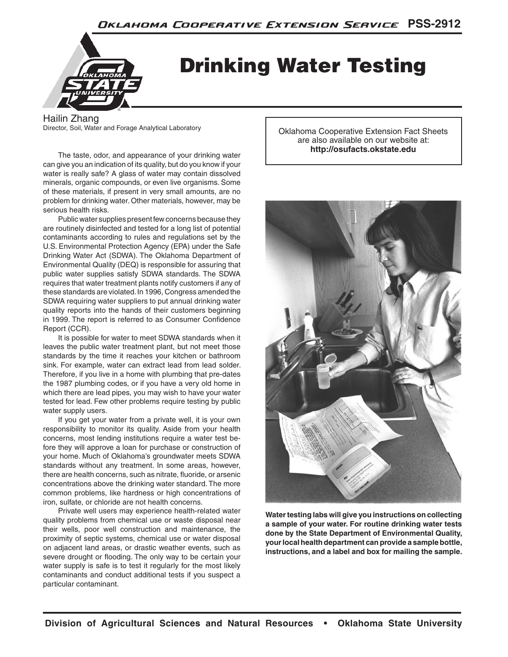

# Drinking Water Testing

Hailin Zhang Director, Soil, Water and Forage Analytical Laboratory

 The taste, odor, and appearance of your drinking water can give you an indication of its quality, but do you know if your water is really safe? A glass of water may contain dissolved minerals, organic compounds, or even live organisms. Some of these materials, if present in very small amounts, are no problem for drinking water. Other materials, however, may be serious health risks.

 Public water supplies present few concerns because they are routinely disinfected and tested for a long list of potential contaminants according to rules and regulations set by the U.S. Environmental Protection Agency (EPA) under the Safe Drinking Water Act (SDWA). The Oklahoma Department of Environmental Quality (DEQ) is responsible for assuring that public water supplies satisfy SDWA standards. The SDWA requires that water treatment plants notify customers if any of these standards are violated. In 1996, Congress amended the SDWA requiring water suppliers to put annual drinking water quality reports into the hands of their customers beginning in 1999. The report is referred to as Consumer Confidence Report (CCR).

 It is possible for water to meet SDWA standards when it leaves the public water treatment plant, but not meet those standards by the time it reaches your kitchen or bathroom sink. For example, water can extract lead from lead solder. Therefore, if you live in a home with plumbing that pre-dates the 1987 plumbing codes, or if you have a very old home in which there are lead pipes, you may wish to have your water tested for lead. Few other problems require testing by public water supply users.

 If you get your water from a private well, it is your own responsibility to monitor its quality. Aside from your health concerns, most lending institutions require a water test before they will approve a loan for purchase or construction of your home. Much of Oklahoma's groundwater meets SDWA standards without any treatment. In some areas, however, there are health concerns, such as nitrate, fluoride, or arsenic concentrations above the drinking water standard. The more common problems, like hardness or high concentrations of iron, sulfate, or chloride are not health concerns.

 Private well users may experience health-related water quality problems from chemical use or waste disposal near their wells, poor well construction and maintenance, the proximity of septic systems, chemical use or water disposal on adjacent land areas, or drastic weather events, such as severe drought or flooding. The only way to be certain your water supply is safe is to test it regularly for the most likely contaminants and conduct additional tests if you suspect a particular contaminant.

Oklahoma Cooperative Extension Fact Sheets are also available on our website at: **http://osufacts.okstate.edu**



**Water testing labs will give you instructions on collecting a sample of your water. For routine drinking water tests done by the State Department of Environmental Quality, your local health department can provide a sample bottle, instructions, and a label and box for mailing the sample.**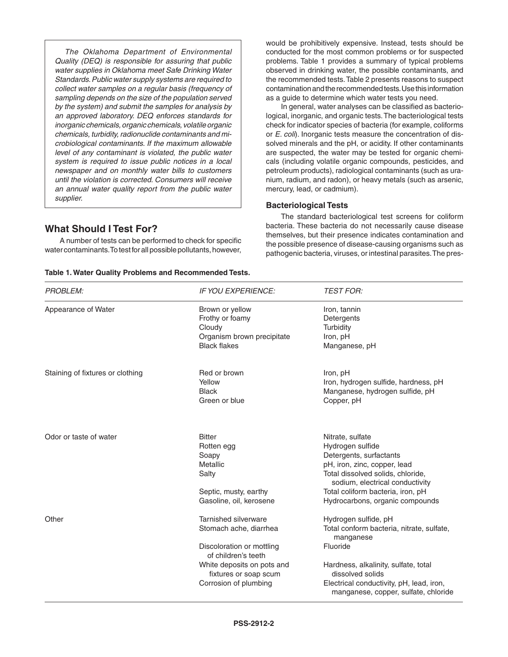*The Oklahoma Department of Environmental Quality (DEQ) is responsible for assuring that public water supplies in Oklahoma meet Safe Drinking Water Standards. Public water supply systems are required to collect water samples on a regular basis (frequency of sampling depends on the size of the population served by the system) and submit the samples for analysis by an approved laboratory. DEQ enforces standards for inorganic chemicals, organic chemicals, volatile organic chemicals, turbidity, radionuclide contaminants and microbiological contaminants. If the maximum allowable level of any contaminant is violated, the public water system is required to issue public notices in a local newspaper and on monthly water bills to customers until the violation is corrected. Consumers will receive an annual water quality report from the public water supplier.*

# **What Should I Test For?**

 A number of tests can be performed to check for specific water contaminants. To test for all possible pollutants, however,

|  | Table 1. Water Quality Problems and Recommended Tests. |  |
|--|--------------------------------------------------------|--|
|--|--------------------------------------------------------|--|

would be prohibitively expensive. Instead, tests should be conducted for the most common problems or for suspected problems. Table 1 provides a summary of typical problems observed in drinking water, the possible contaminants, and the recommended tests. Table 2 presents reasons to suspect contamination and the recommended tests. Use this information as a guide to determine which water tests you need.

In general, water analyses can be classified as bacteriological, inorganic, and organic tests. The bacteriological tests check for indicator species of bacteria (for example, coliforms or *E. coli*). Inorganic tests measure the concentration of dissolved minerals and the pH, or acidity. If other contaminants are suspected, the water may be tested for organic chemicals (including volatile organic compounds, pesticides, and petroleum products), radiological contaminants (such as uranium, radium, and radon), or heavy metals (such as arsenic, mercury, lead, or cadmium).

### **Bacteriological Tests**

 The standard bacteriological test screens for coliform bacteria. These bacteria do not necessarily cause disease themselves, but their presence indicates contamination and the possible presence of disease‑causing organisms such as pathogenic bacteria, viruses, or intestinal parasites. The pres-

| <b>PROBLEM:</b>                  | <b>IF YOU EXPERIENCE:</b>                                                                                                                                                          | <b>TEST FOR:</b>                                                                                                                                                                                                                                |
|----------------------------------|------------------------------------------------------------------------------------------------------------------------------------------------------------------------------------|-------------------------------------------------------------------------------------------------------------------------------------------------------------------------------------------------------------------------------------------------|
| Appearance of Water              | Brown or yellow<br>Frothy or foamy<br>Cloudy<br>Organism brown precipitate<br><b>Black flakes</b>                                                                                  | Iron, tannin<br>Detergents<br>Turbidity<br>Iron, pH<br>Manganese, pH                                                                                                                                                                            |
| Staining of fixtures or clothing | Red or brown<br>Yellow<br><b>Black</b><br>Green or blue                                                                                                                            | Iron, pH<br>Iron, hydrogen sulfide, hardness, pH<br>Manganese, hydrogen sulfide, pH<br>Copper, pH                                                                                                                                               |
| Odor or taste of water           | <b>Bitter</b><br>Rotten egg<br>Soapy<br>Metallic<br>Salty<br>Septic, musty, earthy<br>Gasoline, oil, kerosene                                                                      | Nitrate, sulfate<br>Hydrogen sulfide<br>Detergents, surfactants<br>pH, iron, zinc, copper, lead<br>Total dissolved solids, chloride,<br>sodium, electrical conductivity<br>Total coliform bacteria, iron, pH<br>Hydrocarbons, organic compounds |
| Other                            | Tarnished silverware<br>Stomach ache, diarrhea<br>Discoloration or mottling<br>of children's teeth<br>White deposits on pots and<br>fixtures or soap scum<br>Corrosion of plumbing | Hydrogen sulfide, pH<br>Total conform bacteria, nitrate, sulfate,<br>manganese<br>Fluoride<br>Hardness, alkalinity, sulfate, total<br>dissolved solids<br>Electrical conductivity, pH, lead, iron,<br>manganese, copper, sulfate, chloride      |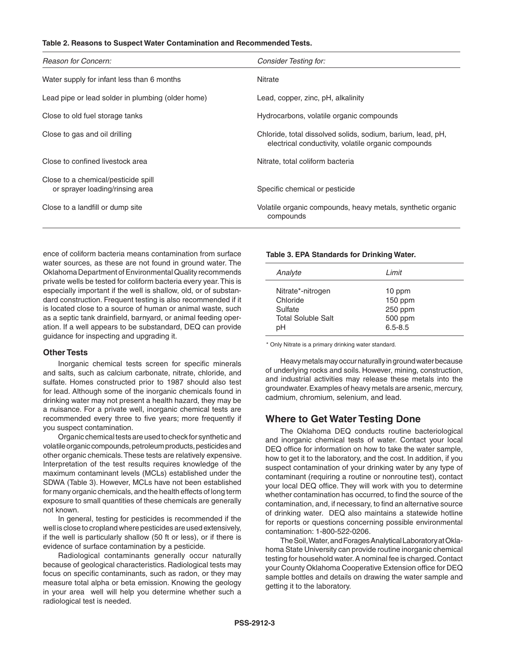#### **Table 2. Reasons to Suspect Water Contamination and Recommended Tests.**

| Reason for Concern:                                                    | Consider Testing for:                                                                                              |
|------------------------------------------------------------------------|--------------------------------------------------------------------------------------------------------------------|
| Water supply for infant less than 6 months                             | <b>Nitrate</b>                                                                                                     |
| Lead pipe or lead solder in plumbing (older home)                      | Lead, copper, zinc, pH, alkalinity                                                                                 |
| Close to old fuel storage tanks                                        | Hydrocarbons, volatile organic compounds                                                                           |
| Close to gas and oil drilling                                          | Chloride, total dissolved solids, sodium, barium, lead, pH,<br>electrical conductivity, volatile organic compounds |
| Close to confined livestock area                                       | Nitrate, total coliform bacteria                                                                                   |
| Close to a chemical/pesticide spill<br>or sprayer loading/rinsing area | Specific chemical or pesticide                                                                                     |
| Close to a landfill or dump site                                       | Volatile organic compounds, heavy metals, synthetic organic<br>compounds                                           |

ence of coliform bacteria means contamination from surface water sources, as these are not found in ground water. The Oklahoma Department of Environmental Quality recommends private wells be tested for coliform bacteria every year. This is especially important if the well is shallow, old, or of substandard construction. Frequent testing is also recommended if it is located close to a source of human or animal waste, such as a septic tank drainfield, barnyard, or animal feeding operation. If a well appears to be substandard, DEQ can provide guidance for inspecting and upgrading it.

#### **Other Tests**

 Inorganic chemical tests screen for specific minerals and salts, such as calcium carbonate, nitrate, chloride, and sulfate. Homes constructed prior to 1987 should also test for lead. Although some of the inorganic chemicals found in drinking water may not present a health hazard, they may be a nuisance. For a private well, inorganic chemical tests are recommended every three to five years; more frequently if you suspect contamination.

 Organic chemical tests are used to check for synthetic and volatile organic compounds, petroleum products, pesticides and other organic chemicals. These tests are relatively expensive. Interpretation of the test results requires knowledge of the maximum contaminant levels (MCLs) established under the SDWA (Table 3). However, MCLs have not been established for many organic chemicals, and the health effects of long term exposure to small quantities of these chemicals are generally not known.

 In general, testing for pesticides is recommended if the well is close to cropland where pesticides are used extensively, if the well is particularly shallow (50 ft or less), or if there is evidence of surface contamination by a pesticide.

 Radiological contaminants generally occur naturally because of geological characteristics. Radiological tests may focus on specific contaminants, such as radon, or they may measure total alpha or beta emission. Knowing the geology in your area well will help you determine whether such a radiological test is needed.

#### **Table 3. EPA Standards for Drinking Water.**

| Analyte                   | Limit       |
|---------------------------|-------------|
| Nitrate*-nitrogen         | 10 ppm      |
| Chloride                  | 150 ppm     |
| Sulfate                   | 250 ppm     |
| <b>Total Soluble Salt</b> | 500 ppm     |
| pН                        | $6.5 - 8.5$ |

\* Only Nitrate is a primary drinking water standard.

 Heavy metals may occur naturally in ground water because of underlying rocks and soils. However, mining, construction, and industrial activities may release these metals into the groundwater. Examples of heavy metals are arsenic, mercury, cadmium, chromium, selenium, and lead.

## **Where to Get Water Testing Done**

 The Oklahoma DEQ conducts routine bacteriological and inorganic chemical tests of water. Contact your local DEQ office for information on how to take the water sample, how to get it to the laboratory, and the cost. In addition, if you suspect contamination of your drinking water by any type of contaminant (requiring a routine or nonroutine test), contact your local DEQ office. They will work with you to determine whether contamination has occurred, to find the source of the contamination, and, if necessary, to find an alternative source of drinking water. DEQ also maintains a statewide hotline for reports or questions concerning possible environmental contamination: 1-800-522-0206.

The Soil, Water, and Forages Analytical Laboratory at Oklahoma State University can provide routine inorganic chemical testing for household water. A nominal fee is charged. Contact your County Oklahoma Cooperative Extension office for DEQ sample bottles and details on drawing the water sample and getting it to the laboratory.